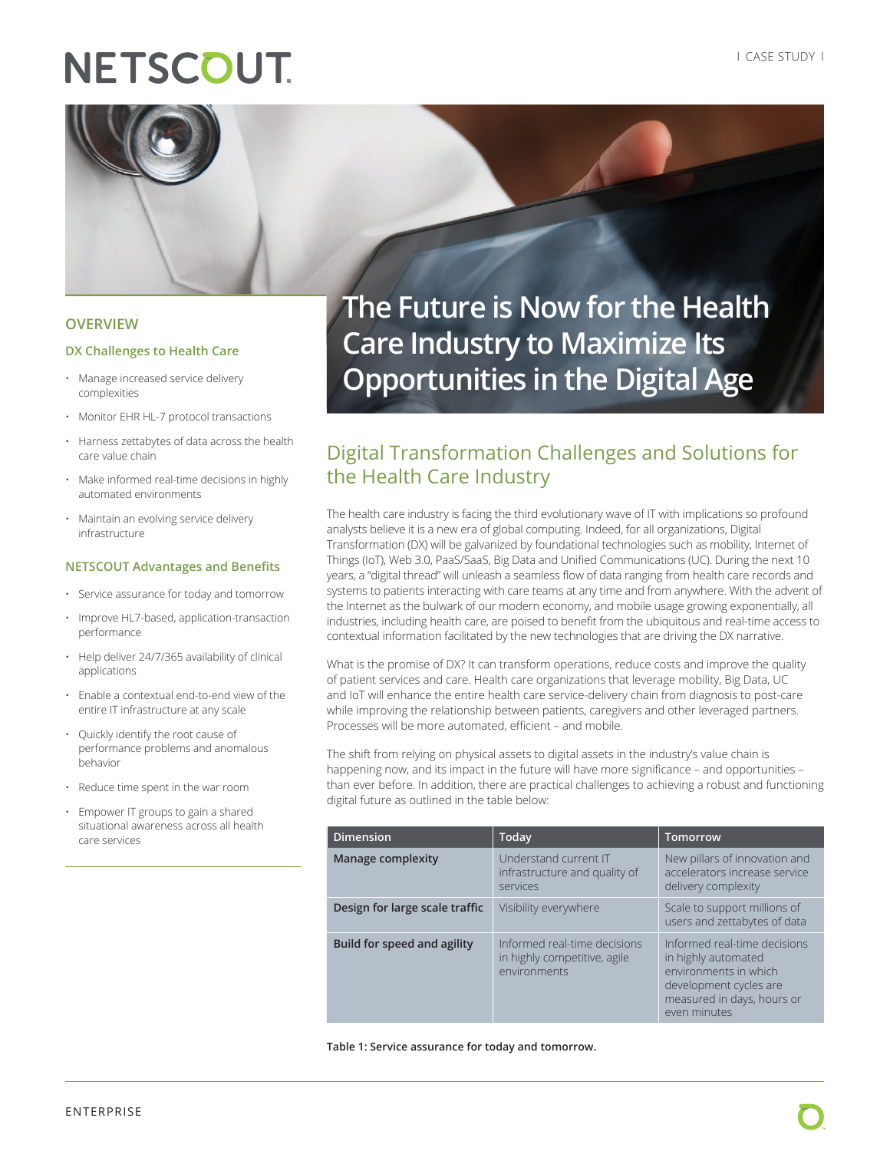# **NETSCOUT**



#### **OVERVIEW**

#### **DX Challenges to Health Care**

- Manage increased service delivery complexities
- Monitor EHR HL-7 protocol transactions
- Harness zettabytes of data across the health care value chain
- Make informed real-time decisions in highly automated environments
- Maintain an evolving service delivery infrastructure

#### **NETSCOUT Advantages and Benefits**

- Service assurance for today and tomorrow
- Improve HL7-based, application-transaction performance
- Help deliver 24/7/365 availability of clinical applications
- Enable a contextual end-to-end view of the entire IT infrastructure at any scale
- Quickly identify the root cause of performance problems and anomalous behavior
- Reduce time spent in the war room
- Empower IT groups to gain a shared situational awareness across all health care services

**The Future is Now for the Health Care Industry to Maximize Its Opportunities in the Digital Age**

### Digital Transformation Challenges and Solutions for the Health Care Industry

The health care industry is facing the third evolutionary wave of IT with implications so profound analysts believe it is a new era of global computing. Indeed, for all organizations, Digital Transformation (DX) will be galvanized by foundational technologies such as mobility, Internet of Things (IoT), Web 3.0, PaaS/SaaS, Big Data and Unified Communications (UC). During the next 10 years, a "digital thread" will unleash a seamless flow of data ranging from health care records and systems to patients interacting with care teams at any time and from anywhere. With the advent of the Internet as the bulwark of our modern economy, and mobile usage growing exponentially, all industries, including health care, are poised to benefit from the ubiquitous and real-time access to contextual information facilitated by the new technologies that are driving the DX narrative.

What is the promise of DX? It can transform operations, reduce costs and improve the quality of patient services and care. Health care organizations that leverage mobility, Big Data, UC and IoT will enhance the entire health care service-delivery chain from diagnosis to post-care while improving the relationship between patients, caregivers and other leveraged partners. Processes will be more automated, efficient – and mobile.

The shift from relying on physical assets to digital assets in the industry's value chain is happening now, and its impact in the future will have more significance – and opportunities – than ever before. In addition, there are practical challenges to achieving a robust and functioning digital future as outlined in the table below:

| <b>Dimension</b>               | Today                                                                        | <b>Tomorrow</b>                                                                                                                                      |
|--------------------------------|------------------------------------------------------------------------------|------------------------------------------------------------------------------------------------------------------------------------------------------|
| <b>Manage complexity</b>       | Understand current IT<br>infrastructure and quality of<br>services           | New pillars of innovation and<br>accelerators increase service<br>delivery complexity                                                                |
| Design for large scale traffic | Visibility everywhere                                                        | Scale to support millions of<br>users and zettabytes of data                                                                                         |
| Build for speed and agility    | Informed real-time decisions<br>in highly competitive, agile<br>environments | Informed real-time decisions<br>in highly automated<br>environments in which<br>development cycles are<br>measured in days, hours or<br>even minutes |

#### **Table 1: Service assurance for today and tomorrow.**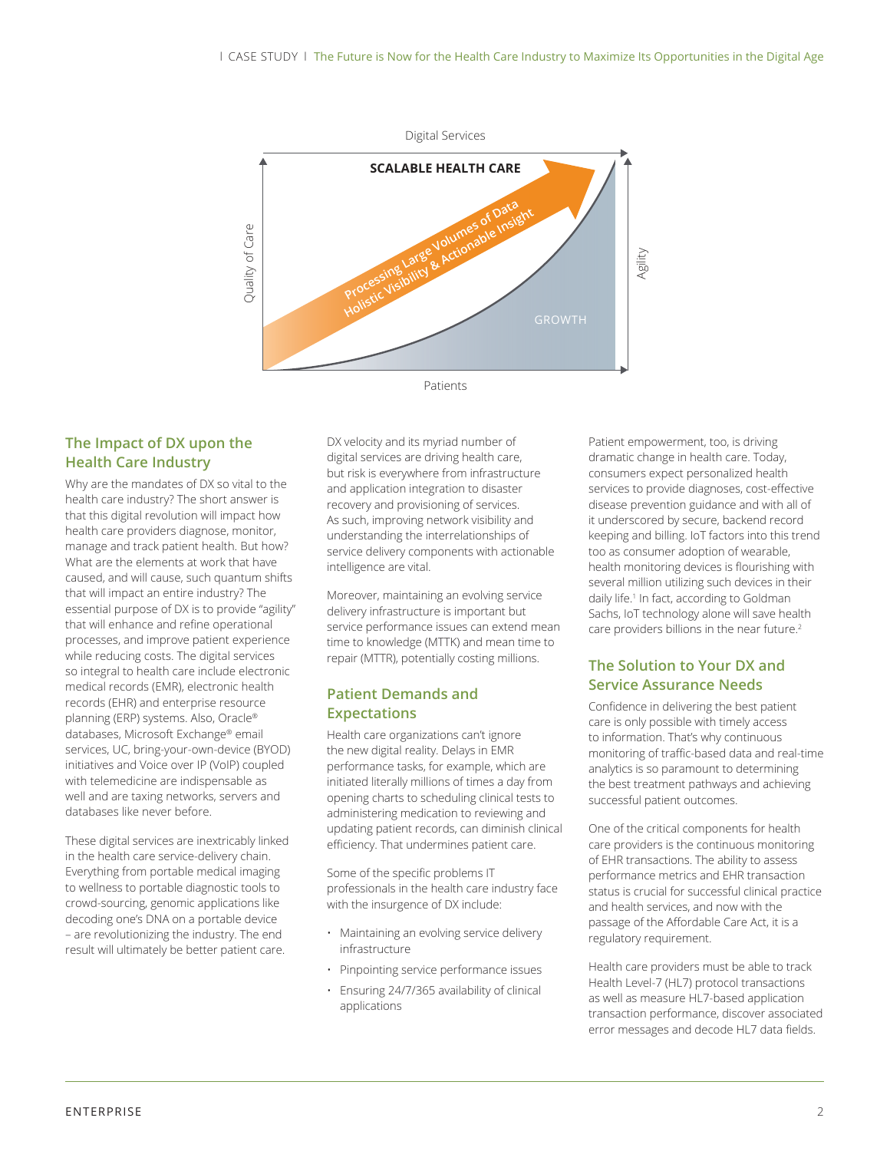

#### **The Impact of DX upon the Health Care Industry**

Why are the mandates of DX so vital to the health care industry? The short answer is that this digital revolution will impact how health care providers diagnose, monitor, manage and track patient health. But how? What are the elements at work that have caused, and will cause, such quantum shifts that will impact an entire industry? The essential purpose of DX is to provide "agility" that will enhance and refine operational processes, and improve patient experience while reducing costs. The digital services so integral to health care include electronic medical records (EMR), electronic health records (EHR) and enterprise resource planning (ERP) systems. Also, Oracle® databases, Microsoft Exchange® email services, UC, bring-your-own-device (BYOD) initiatives and Voice over IP (VoIP) coupled with telemedicine are indispensable as well and are taxing networks, servers and databases like never before.

These digital services are inextricably linked in the health care service-delivery chain. Everything from portable medical imaging to wellness to portable diagnostic tools to crowd-sourcing, genomic applications like decoding one's DNA on a portable device – are revolutionizing the industry. The end result will ultimately be better patient care.

DX velocity and its myriad number of digital services are driving health care, but risk is everywhere from infrastructure and application integration to disaster recovery and provisioning of services. As such, improving network visibility and understanding the interrelationships of service delivery components with actionable intelligence are vital.

Moreover, maintaining an evolving service delivery infrastructure is important but service performance issues can extend mean time to knowledge (MTTK) and mean time to repair (MTTR), potentially costing millions.

#### **Patient Demands and Expectations**

Health care organizations can't ignore the new digital reality. Delays in EMR performance tasks, for example, which are initiated literally millions of times a day from opening charts to scheduling clinical tests to administering medication to reviewing and updating patient records, can diminish clinical efficiency. That undermines patient care.

Some of the specific problems IT professionals in the health care industry face with the insurgence of DX include:

- Maintaining an evolving service delivery infrastructure
- Pinpointing service performance issues
- Ensuring 24/7/365 availability of clinical applications

Patient empowerment, too, is driving dramatic change in health care. Today, consumers expect personalized health services to provide diagnoses, cost-effective disease prevention guidance and with all of it underscored by secure, backend record keeping and billing. IoT factors into this trend too as consumer adoption of wearable, health monitoring devices is flourishing with several million utilizing such devices in their daily life.<sup>1</sup> In fact, according to Goldman Sachs, IoT technology alone will save health care providers billions in the near future.<sup>2</sup>

#### **The Solution to Your DX and Service Assurance Needs**

Confidence in delivering the best patient care is only possible with timely access to information. That's why continuous monitoring of traffic-based data and real-time analytics is so paramount to determining the best treatment pathways and achieving successful patient outcomes.

One of the critical components for health care providers is the continuous monitoring of EHR transactions. The ability to assess performance metrics and EHR transaction status is crucial for successful clinical practice and health services, and now with the passage of the Affordable Care Act, it is a regulatory requirement.

Health care providers must be able to track Health Level-7 (HL7) protocol transactions as well as measure HL7-based application transaction performance, discover associated error messages and decode HL7 data fields.